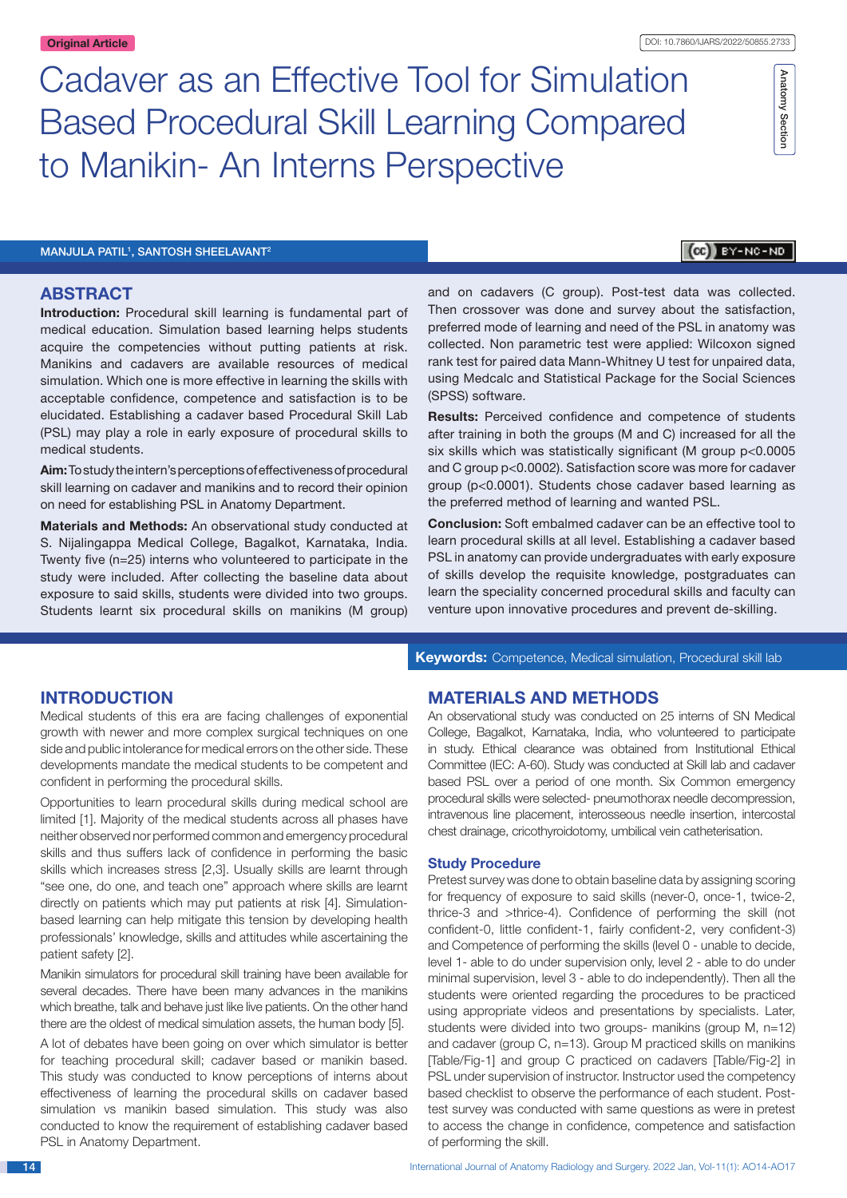Cadaver as an Effective Tool for Simulation Based Procedural Skill Learning Compared to Manikin- An Interns Perspective

MANJULA PATIL<sup>1</sup>, SANTOSH SHEELAVANT<sup>2</sup>

### (CC) BY-NC-ND

Anatomy Section

Anatomy Section

### **ABSTRACT**

**Introduction:** Procedural skill learning is fundamental part of medical education. Simulation based learning helps students acquire the competencies without putting patients at risk. Manikins and cadavers are available resources of medical simulation. Which one is more effective in learning the skills with acceptable confidence, competence and satisfaction is to be elucidated. Establishing a cadaver based Procedural Skill Lab (PSL) may play a role in early exposure of procedural skills to medical students.

**Aim:** To study the intern's perceptions of effectiveness of procedural skill learning on cadaver and manikins and to record their opinion on need for establishing PSL in Anatomy Department.

**Materials and Methods:** An observational study conducted at S. Nijalingappa Medical College, Bagalkot, Karnataka, India. Twenty five (n=25) interns who volunteered to participate in the study were included. After collecting the baseline data about exposure to said skills, students were divided into two groups. Students learnt six procedural skills on manikins (M group) and on cadavers (C group). Post-test data was collected. Then crossover was done and survey about the satisfaction, preferred mode of learning and need of the PSL in anatomy was collected. Non parametric test were applied: Wilcoxon signed rank test for paired data Mann-Whitney U test for unpaired data, using Medcalc and Statistical Package for the Social Sciences (SPSS) software.

**Results:** Perceived confidence and competence of students after training in both the groups (M and C) increased for all the six skills which was statistically significant (M group p<0.0005 and C group p<0.0002). Satisfaction score was more for cadaver group (p<0.0001). Students chose cadaver based learning as the preferred method of learning and wanted PSL.

**Conclusion:** Soft embalmed cadaver can be an effective tool to learn procedural skills at all level. Establishing a cadaver based PSL in anatomy can provide undergraduates with early exposure of skills develop the requisite knowledge, postgraduates can learn the speciality concerned procedural skills and faculty can venture upon innovative procedures and prevent de-skilling.

**INTRODUCTION**

Medical students of this era are facing challenges of exponential growth with newer and more complex surgical techniques on one side and public intolerance for medical errors on the other side. These developments mandate the medical students to be competent and confident in performing the procedural skills.

Opportunities to learn procedural skills during medical school are limited [1]. Majority of the medical students across all phases have neither observed nor performed common and emergency procedural skills and thus suffers lack of confidence in performing the basic skills which increases stress [2,3]. Usually skills are learnt through "see one, do one, and teach one" approach where skills are learnt directly on patients which may put patients at risk [4]. Simulationbased learning can help mitigate this tension by developing health professionals' knowledge, skills and attitudes while ascertaining the patient safety [2].

Manikin simulators for procedural skill training have been available for several decades. There have been many advances in the manikins which breathe, talk and behave just like live patients. On the other hand there are the oldest of medical simulation assets, the human body [5].

A lot of debates have been going on over which simulator is better for teaching procedural skill; cadaver based or manikin based. This study was conducted to know perceptions of interns about effectiveness of learning the procedural skills on cadaver based simulation vs manikin based simulation. This study was also conducted to know the requirement of establishing cadaver based PSL in Anatomy Department.

**Keywords:** Competence, Medical simulation, Procedural skill lab

### **MATERIALS AND METHODS**

An observational study was conducted on 25 interns of SN Medical College, Bagalkot, Karnataka, India, who volunteered to participate in study. Ethical clearance was obtained from Institutional Ethical Committee (IEC: A-60). Study was conducted at Skill lab and cadaver based PSL over a period of one month. Six Common emergency procedural skills were selected- pneumothorax needle decompression, intravenous line placement, interosseous needle insertion, intercostal chest drainage, cricothyroidotomy, umbilical vein catheterisation.

### **Study Procedure**

Pretest survey was done to obtain baseline data by assigning scoring for frequency of exposure to said skills (never-0, once-1, twice-2, thrice-3 and >thrice-4). Confidence of performing the skill (not confident-0, little confident-1, fairly confident-2, very confident-3) and Competence of performing the skills (level 0 - unable to decide, level 1- able to do under supervision only, level 2 - able to do under minimal supervision, level 3 - able to do independently). Then all the students were oriented regarding the procedures to be practiced using appropriate videos and presentations by specialists. Later, students were divided into two groups- manikins (group M, n=12) and cadaver (group C, n=13). Group M practiced skills on manikins [Table/Fig-1] and group C practiced on cadavers [Table/Fig-2] in PSL under supervision of instructor. Instructor used the competency based checklist to observe the performance of each student. Posttest survey was conducted with same questions as were in pretest to access the change in confidence, competence and satisfaction of performing the skill.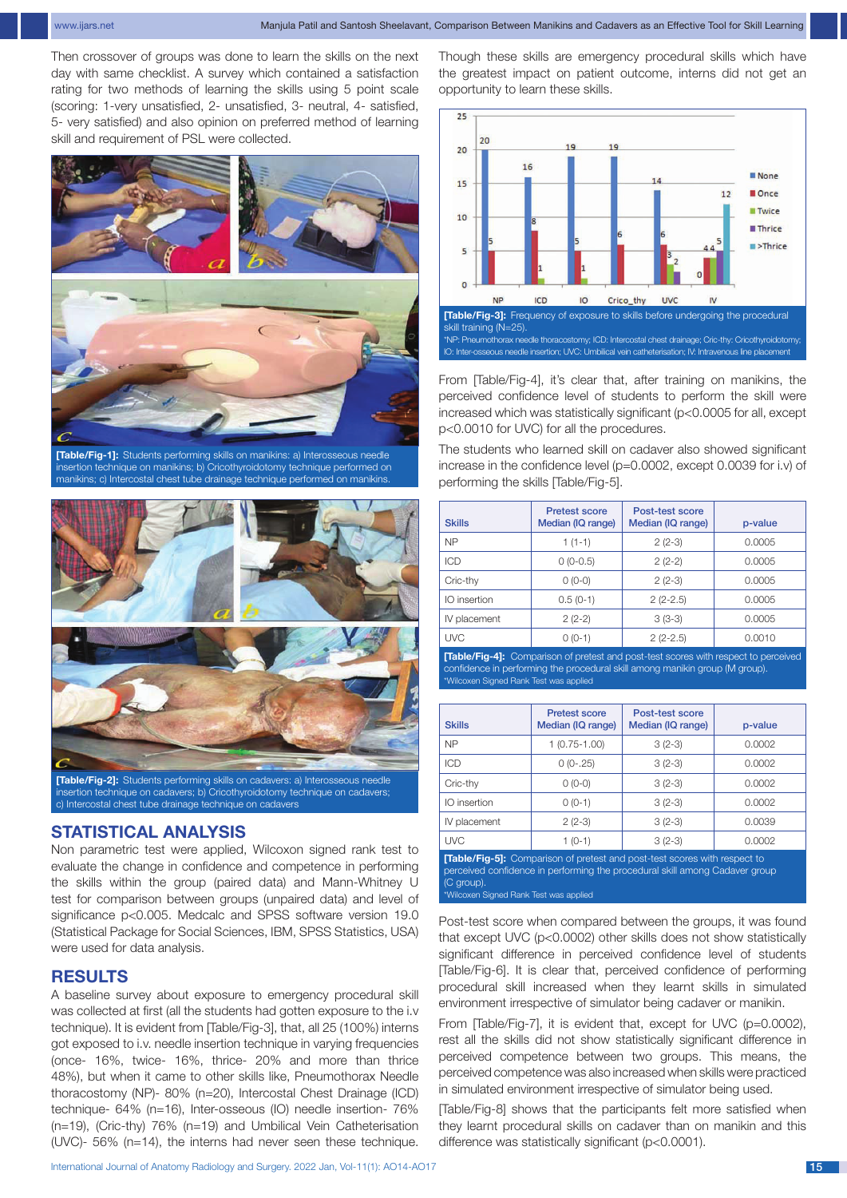Then crossover of groups was done to learn the skills on the next day with same checklist. A survey which contained a satisfaction rating for two methods of learning the skills using 5 point scale (scoring: 1-very unsatisfied, 2- unsatisfied, 3- neutral, 4- satisfied, 5- very satisfied) and also opinion on preferred method of learning skill and requirement of PSL were collected.



**[Table/Fig-1]:** Students performing skills on manikins: a) Interosseous needle insertion technique on manikins; b) Cricothyroidotomy technique performed on manikins; c) Intercostal chest tube drainage technique performed on manikins.



sertion technique on cadavers; b) Cricothyroidotomy technique on cadavers; c) Intercostal chest tube drainage technique on cadavers

# **STATISTICAL ANALYSIS**

Non parametric test were applied, Wilcoxon signed rank test to evaluate the change in confidence and competence in performing the skills within the group (paired data) and Mann-Whitney U test for comparison between groups (unpaired data) and level of significance p<0.005. Medcalc and SPSS software version 19.0 (Statistical Package for Social Sciences, IBM, SPSS Statistics, USA) were used for data analysis.

# **RESULTS**

A baseline survey about exposure to emergency procedural skill was collected at first (all the students had gotten exposure to the i.v technique). It is evident from [Table/Fig-3], that, all 25 (100%) interns got exposed to i.v. needle insertion technique in varying frequencies (once- 16%, twice- 16%, thrice- 20% and more than thrice 48%), but when it came to other skills like, Pneumothorax Needle thoracostomy (NP)- 80% (n=20), Intercostal Chest Drainage (ICD) technique- 64% (n=16), Inter-osseous (IO) needle insertion- 76% (n=19), (Cric-thy) 76% (n=19) and Umbilical Vein Catheterisation (UVC)- 56% (n=14), the interns had never seen these technique. Though these skills are emergency procedural skills which have the greatest impact on patient outcome, interns did not get an opportunity to learn these skills.



From [Table/Fig-4], it's clear that, after training on manikins, the perceived confidence level of students to perform the skill were increased which was statistically significant (p<0.0005 for all, except p<0.0010 for UVC) for all the procedures.

The students who learned skill on cadaver also showed significant increase in the confidence level (p=0.0002, except 0.0039 for i.v) of performing the skills [Table/Fig-5].

| <b>Skills</b> | <b>Pretest score</b><br>Median (IQ range) | Post-test score<br>Median (IQ range) | p-value |
|---------------|-------------------------------------------|--------------------------------------|---------|
| <b>NP</b>     | $1(1-1)$                                  | $2(2-3)$                             | 0.0005  |
| ICD           | $0(0-0.5)$                                | $2(2-2)$                             | 0.0005  |
| Cric-thy      | $0(0-0)$                                  | $2(2-3)$                             | 0.0005  |
| IO insertion  | $0.5(0-1)$                                | $2(2-2.5)$                           | 0.0005  |
| IV placement  | $2(2-2)$                                  | $3(3-3)$                             | 0.0005  |
| <b>UVC</b>    | $0(0-1)$                                  | $2(2-2.5)$                           | 0.0010  |

**[Table/Fig-4]:** Comparison of pretest and post-test scores with respect to perceived confidence in performing the procedural skill among manikin group (M group). \*Wilcoxen Signed Rank Test was applied

| <b>Skills</b> | <b>Pretest score</b><br>Median (IQ range) | Post-test score<br>Median (IQ range) | p-value |
|---------------|-------------------------------------------|--------------------------------------|---------|
| <b>NP</b>     | $1(0.75-1.00)$                            | $3(2-3)$                             | 0.0002  |
| <b>ICD</b>    | $0(0-.25)$                                | $3(2-3)$                             | 0.0002  |
| Cric-thy      | $0(0-0)$                                  | $3(2-3)$                             | 0.0002  |
| IO insertion  | $0(0-1)$                                  | $3(2-3)$                             | 0.0002  |
| IV placement  | $2(2-3)$                                  | $3(2-3)$                             | 0.0039  |
| <b>UVC</b>    | 1 (0-1)                                   | $3(2-3)$                             | 0.0002  |

**[Table/Fig-5]:** Comparison of pretest and post-test scores with respect to perceived confidence in performing the procedural skill among Cadaver group (C group). wilcoxen Signed Rank Test was applied

Post-test score when compared between the groups, it was found that except UVC (p<0.0002) other skills does not show statistically significant difference in perceived confidence level of students [Table/Fig-6]. It is clear that, perceived confidence of performing procedural skill increased when they learnt skills in simulated environment irrespective of simulator being cadaver or manikin.

From [Table/Fig-7], it is evident that, except for UVC (p=0.0002), rest all the skills did not show statistically significant difference in perceived competence between two groups. This means, the perceived competence was also increased when skills were practiced in simulated environment irrespective of simulator being used.

[Table/Fig-8] shows that the participants felt more satisfied when they learnt procedural skills on cadaver than on manikin and this difference was statistically significant (p<0.0001).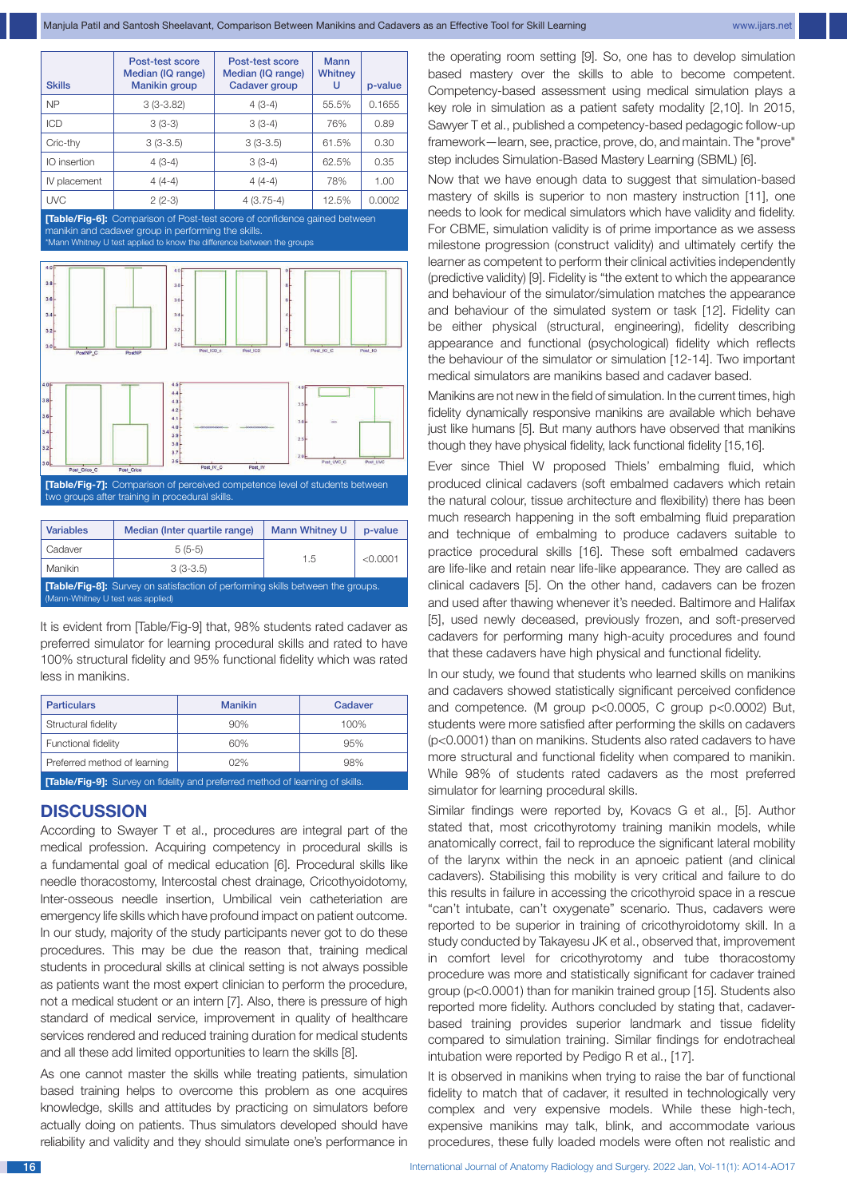| <b>Skills</b> | Post-test score<br>Median (IQ range)<br><b>Manikin group</b> | Post-test score<br>Median (IQ range)<br><b>Cadaver group</b> | Mann<br>Whitney<br>U | p-value |
|---------------|--------------------------------------------------------------|--------------------------------------------------------------|----------------------|---------|
| <b>NP</b>     | $3(3-3.82)$                                                  | $4(3-4)$                                                     | 55.5%                | 0.1655  |
| ICD           | $3(3-3)$                                                     | $3(3-4)$                                                     | 76%                  | 0.89    |
| Cric-thy      | $3(3-3.5)$                                                   | $3(3-3.5)$                                                   | 61.5%                | 0.30    |
| IO insertion  | $4(3-4)$                                                     | $3(3-4)$                                                     | 62.5%                | 0.35    |
| IV placement  | $4(4-4)$                                                     | $4(4-4)$                                                     | 78%                  | 1.00    |
| <b>UVC</b>    | $2(2-3)$                                                     | $4(3.75-4)$                                                  | 12.5%                | 0.0002  |

**[Table/Fig-6]:** Comparison of Post-test score of confidence gained between -<br>manikin and cadaver group in performing the skills \*Mann Whitney U test applied to know the difference between the groups



**[Table/Fig-7]:** Comparison of perceived competence level of students between two groups after training in procedural skills.

| <b>Variables</b>                                                                                                           | Median (Inter quartile range) | <b>Mann Whitney U</b> | p-value  |  |
|----------------------------------------------------------------------------------------------------------------------------|-------------------------------|-----------------------|----------|--|
| Cadaver                                                                                                                    | $5(5-5)$                      |                       |          |  |
| Manikin                                                                                                                    | $3(3-3.5)$                    | 1.5                   | < 0.0001 |  |
| <b>[Table/Fig-8]:</b> Survey on satisfaction of performing skills between the groups.<br>(Mann-Whitney U test was applied) |                               |                       |          |  |

It is evident from [Table/Fig-9] that, 98% students rated cadaver as preferred simulator for learning procedural skills and rated to have 100% structural fidelity and 95% functional fidelity which was rated less in manikins.

| <b>Particulars</b>                                                                   | <b>Manikin</b> | Cadaver |  |
|--------------------------------------------------------------------------------------|----------------|---------|--|
| Structural fidelity                                                                  | 90%            | 100%    |  |
| Functional fidelity                                                                  | 60%            | 95%     |  |
| Preferred method of learning                                                         | 02%            | 98%     |  |
| <b>[Table/Fig-9]:</b> Survey on fidelity and preferred method of learning of skills. |                |         |  |

## **DISCUSSION**

According to Swayer T et al., procedures are integral part of the medical profession. Acquiring competency in procedural skills is a fundamental goal of medical education [6]. Procedural skills like needle thoracostomy, Intercostal chest drainage, Cricothyoidotomy, Inter-osseous needle insertion, Umbilical vein catheteriation are emergency life skills which have profound impact on patient outcome. In our study, majority of the study participants never got to do these procedures. This may be due the reason that, training medical students in procedural skills at clinical setting is not always possible as patients want the most expert clinician to perform the procedure, not a medical student or an intern [7]. Also, there is pressure of high standard of medical service, improvement in quality of healthcare services rendered and reduced training duration for medical students and all these add limited opportunities to learn the skills [8].

As one cannot master the skills while treating patients, simulation based training helps to overcome this problem as one acquires knowledge, skills and attitudes by practicing on simulators before actually doing on patients. Thus simulators developed should have reliability and validity and they should simulate one's performance in the operating room setting [9]. So, one has to develop simulation based mastery over the skills to able to become competent. Competency-based assessment using medical simulation plays a key role in simulation as a patient safety modality [2,10]. In 2015, Sawyer T et al., published a competency-based pedagogic follow-up framework—learn, see, practice, prove, do, and maintain. The "prove" step includes Simulation-Based Mastery Learning (SBML) [6].

Now that we have enough data to suggest that simulation-based mastery of skills is superior to non mastery instruction [11], one needs to look for medical simulators which have validity and fidelity. For CBME, simulation validity is of prime importance as we assess milestone progression (construct validity) and ultimately certify the learner as competent to perform their clinical activities independently (predictive validity) [9]. Fidelity is "the extent to which the appearance and behaviour of the simulator/simulation matches the appearance and behaviour of the simulated system or task [12]. Fidelity can be either physical (structural, engineering), fidelity describing appearance and functional (psychological) fidelity which reflects the behaviour of the simulator or simulation [12-14]. Two important medical simulators are manikins based and cadaver based.

Manikins are not new in the field of simulation. In the current times, high fidelity dynamically responsive manikins are available which behave just like humans [5]. But many authors have observed that manikins though they have physical fidelity, lack functional fidelity [15,16].

Ever since Thiel W proposed Thiels' embalming fluid, which produced clinical cadavers (soft embalmed cadavers which retain the natural colour, tissue architecture and flexibility) there has been much research happening in the soft embalming fluid preparation and technique of embalming to produce cadavers suitable to practice procedural skills [16]. These soft embalmed cadavers are life-like and retain near life-like appearance. They are called as clinical cadavers [5]. On the other hand, cadavers can be frozen and used after thawing whenever it's needed. Baltimore and Halifax [5], used newly deceased, previously frozen, and soft-preserved cadavers for performing many high-acuity procedures and found that these cadavers have high physical and functional fidelity.

In our study, we found that students who learned skills on manikins and cadavers showed statistically significant perceived confidence and competence. (M group p<0.0005, C group p<0.0002) But, students were more satisfied after performing the skills on cadavers (p<0.0001) than on manikins. Students also rated cadavers to have more structural and functional fidelity when compared to manikin. While 98% of students rated cadavers as the most preferred simulator for learning procedural skills.

Similar findings were reported by, Kovacs G et al., [5]. Author stated that, most cricothyrotomy training manikin models, while anatomically correct, fail to reproduce the significant lateral mobility of the larynx within the neck in an apnoeic patient (and clinical cadavers). Stabilising this mobility is very critical and failure to do this results in failure in accessing the cricothyroid space in a rescue "can't intubate, can't oxygenate" scenario. Thus, cadavers were reported to be superior in training of cricothyroidotomy skill. In a study conducted by Takayesu JK et al., observed that, improvement in comfort level for cricothyrotomy and tube thoracostomy procedure was more and statistically significant for cadaver trained group (p<0.0001) than for manikin trained group [15]. Students also reported more fidelity. Authors concluded by stating that, cadaverbased training provides superior landmark and tissue fidelity compared to simulation training. Similar findings for endotracheal intubation were reported by Pedigo R et al., [17].

It is observed in manikins when trying to raise the bar of functional fidelity to match that of cadaver, it resulted in technologically very complex and very expensive models. While these high-tech, expensive manikins may talk, blink, and accommodate various procedures, these fully loaded models were often not realistic and